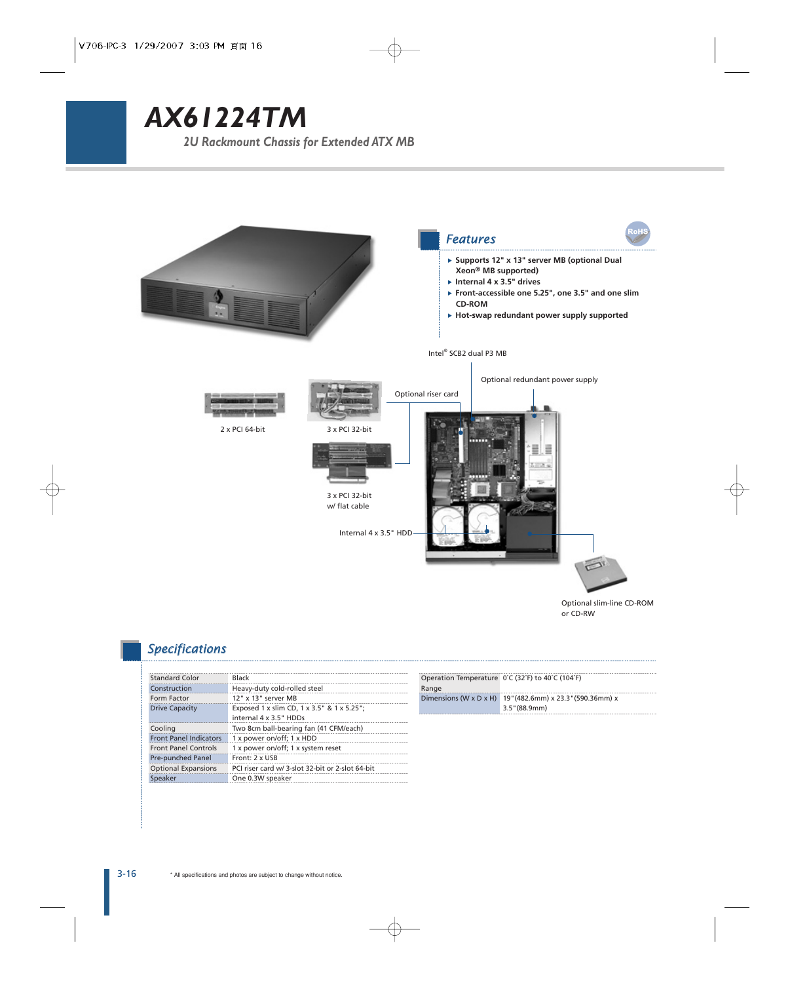# *AX61224TM*

*2U Rackmount Chassis for Extended ATX MB*



### *Specifications*

| <b>Standard Color</b>         | <b>Black</b>                                     |
|-------------------------------|--------------------------------------------------|
| Construction                  | Heavy-duty cold-rolled steel                     |
| <b>Form Factor</b>            | $12"$ x $13"$ server MR                          |
| <b>Drive Capacity</b>         | Exposed 1 x slim CD, 1 x 3.5" & 1 x 5.25";       |
|                               | internal 4 x 3.5" HDDs                           |
| Cooling                       | Two 8cm ball-bearing fan (41 CFM/each)           |
| <b>Front Panel Indicators</b> | 1 x power on/off; 1 x HDD                        |
| <b>Front Panel Controls</b>   | 1 x power on/off; 1 x system reset               |
| <b>Pre-punched Panel</b>      | Front: 2 x USB                                   |
| <b>Optional Expansions</b>    | PCI riser card w/ 3-slot 32-bit or 2-slot 64-bit |
| Speaker                       | One 0.3W speaker                                 |
|                               |                                                  |

|       | Operation Temperature 0°C (32°F) to 40°C (104°F)          |
|-------|-----------------------------------------------------------|
| Range |                                                           |
|       | Dimensions (W x D x H) 19" (482.6mm) x 23.3" (590.36mm) x |
|       | $3.5$ " (88.9mm)                                          |